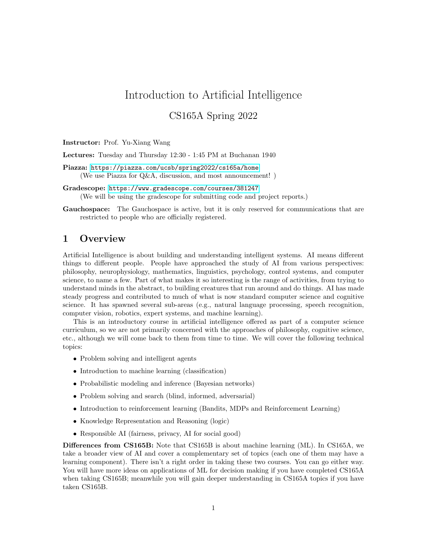# Introduction to Artificial Intelligence

## CS165A Spring 2022

Instructor: Prof. Yu-Xiang Wang

Lectures: Tuesday and Thursday 12:30 - 1:45 PM at Buchanan 1940

Piazza: <https://piazza.com/ucsb/spring2022/cs165a/home> (We use Piazza for Q&A, discussion, and most announcement! )

- Gradescope: [https://www.gradescope.com/courses/381247]( https://www.gradescope.com/courses/381247) (We will be using the gradescope for submitting code and project reports.)
- Gauchospace: The Gauchospace is active, but it is only reserved for communications that are restricted to people who are officially registered.

#### 1 Overview

Artificial Intelligence is about building and understanding intelligent systems. AI means different things to different people. People have approached the study of AI from various perspectives: philosophy, neurophysiology, mathematics, linguistics, psychology, control systems, and computer science, to name a few. Part of what makes it so interesting is the range of activities, from trying to understand minds in the abstract, to building creatures that run around and do things. AI has made steady progress and contributed to much of what is now standard computer science and cognitive science. It has spawned several sub-areas (e.g., natural language processing, speech recognition, computer vision, robotics, expert systems, and machine learning).

This is an introductory course in artificial intelligence offered as part of a computer science curriculum, so we are not primarily concerned with the approaches of philosophy, cognitive science, etc., although we will come back to them from time to time. We will cover the following technical topics:

- Problem solving and intelligent agents
- Introduction to machine learning (classification)
- Probabilistic modeling and inference (Bayesian networks)
- Problem solving and search (blind, informed, adversarial)
- Introduction to reinforcement learning (Bandits, MDPs and Reinforcement Learning)
- Knowledge Representation and Reasoning (logic)
- Responsible AI (fairness, privacy, AI for social good)

Differences from CS165B: Note that CS165B is about machine learning (ML). In CS165A, we take a broader view of AI and cover a complementary set of topics (each one of them may have a learning component). There isn't a right order in taking these two courses. You can go either way. You will have more ideas on applications of ML for decision making if you have completed CS165A when taking CS165B; meanwhile you will gain deeper understanding in CS165A topics if you have taken CS165B.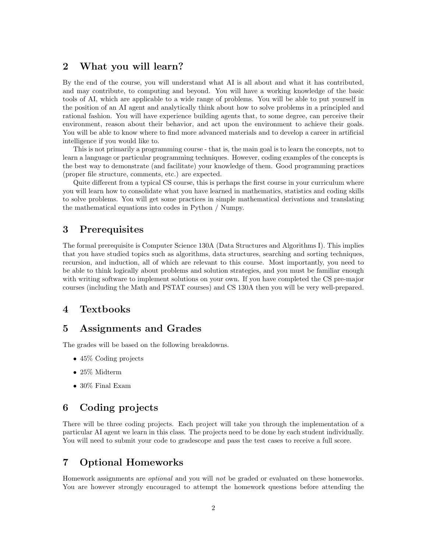## 2 What you will learn?

By the end of the course, you will understand what AI is all about and what it has contributed, and may contribute, to computing and beyond. You will have a working knowledge of the basic tools of AI, which are applicable to a wide range of problems. You will be able to put yourself in the position of an AI agent and analytically think about how to solve problems in a principled and rational fashion. You will have experience building agents that, to some degree, can perceive their environment, reason about their behavior, and act upon the environment to achieve their goals. You will be able to know where to find more advanced materials and to develop a career in artificial intelligence if you would like to.

This is not primarily a programming course - that is, the main goal is to learn the concepts, not to learn a language or particular programming techniques. However, coding examples of the concepts is the best way to demonstrate (and facilitate) your knowledge of them. Good programming practices (proper file structure, comments, etc.) are expected.

Quite different from a typical CS course, this is perhaps the first course in your curriculum where you will learn how to consolidate what you have learned in mathematics, statistics and coding skills to solve problems. You will get some practices in simple mathematical derivations and translating the mathematical equations into codes in Python / Numpy.

#### 3 Prerequisites

The formal prerequisite is Computer Science 130A (Data Structures and Algorithms I). This implies that you have studied topics such as algorithms, data structures, searching and sorting techniques, recursion, and induction, all of which are relevant to this course. Most importantly, you need to be able to think logically about problems and solution strategies, and you must be familiar enough with writing software to implement solutions on your own. If you have completed the CS pre-major courses (including the Math and PSTAT courses) and CS 130A then you will be very well-prepared.

#### 4 Textbooks

#### 5 Assignments and Grades

The grades will be based on the following breakdowns.

- 45\% Coding projects
- 25% Midterm
- 30% Final Exam

#### 6 Coding projects

There will be three coding projects. Each project will take you through the implementation of a particular AI agent we learn in this class. The projects need to be done by each student individually. You will need to submit your code to gradescope and pass the test cases to receive a full score.

#### 7 Optional Homeworks

Homework assignments are optional and you will not be graded or evaluated on these homeworks. You are however strongly encouraged to attempt the homework questions before attending the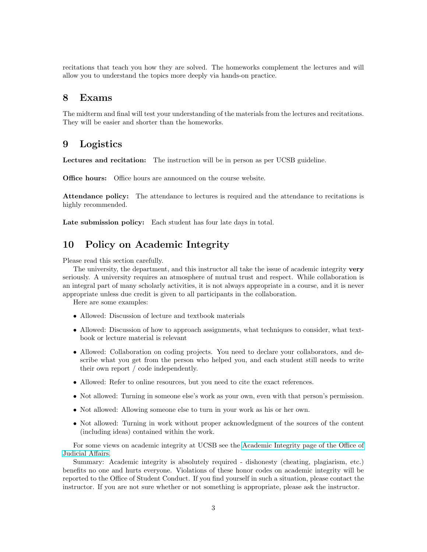recitations that teach you how they are solved. The homeworks complement the lectures and will allow you to understand the topics more deeply via hands-on practice.

#### 8 Exams

The midterm and final will test your understanding of the materials from the lectures and recitations. They will be easier and shorter than the homeworks.

#### 9 Logistics

Lectures and recitation: The instruction will be in person as per UCSB guideline.

Office hours: Office hours are announced on the course website.

Attendance policy: The attendance to lectures is required and the attendance to recitations is highly recommended.

Late submission policy: Each student has four late days in total.

## 10 Policy on Academic Integrity

Please read this section carefully.

The university, the department, and this instructor all take the issue of academic integrity very seriously. A university requires an atmosphere of mutual trust and respect. While collaboration is an integral part of many scholarly activities, it is not always appropriate in a course, and it is never appropriate unless due credit is given to all participants in the collaboration.

Here are some examples:

- Allowed: Discussion of lecture and textbook materials
- Allowed: Discussion of how to approach assignments, what techniques to consider, what textbook or lecture material is relevant
- Allowed: Collaboration on coding projects. You need to declare your collaborators, and describe what you get from the person who helped you, and each student still needs to write their own report / code independently.
- Allowed: Refer to online resources, but you need to cite the exact references.
- Not allowed: Turning in someone else's work as your own, even with that person's permission.
- Not allowed: Allowing someone else to turn in your work as his or her own.
- Not allowed: Turning in work without proper acknowledgment of the sources of the content (including ideas) contained within the work.

For some views on academic integrity at UCSB see the [Academic Integrity page of the Office of](http://judicialaffairs.sa.ucsb.edu/AcademicIntegrity.aspx) [Judicial Affairs.](http://judicialaffairs.sa.ucsb.edu/AcademicIntegrity.aspx)

Summary: Academic integrity is absolutely required - dishonesty (cheating, plagiarism, etc.) benefits no one and hurts everyone. Violations of these honor codes on academic integrity will be reported to the Office of Student Conduct. If you find yourself in such a situation, please contact the instructor. If you are not sure whether or not something is appropriate, please ask the instructor.